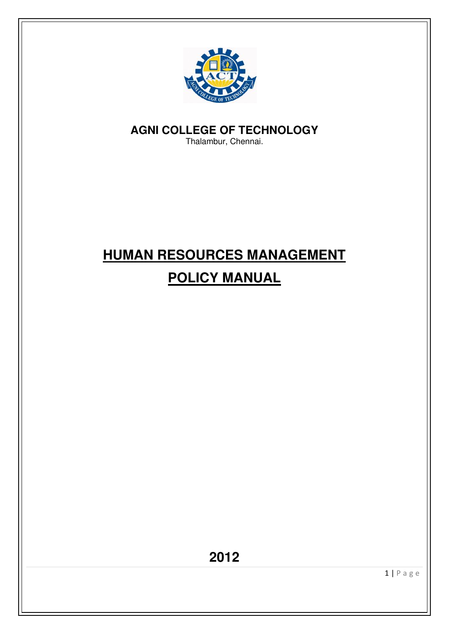

**AGNI COLLEGE OF TECHNOLOGY** 

Thalambur, Chennai.

# **HUMAN RESOURCES MANAGEMENT POLICY MANUAL**

**2012**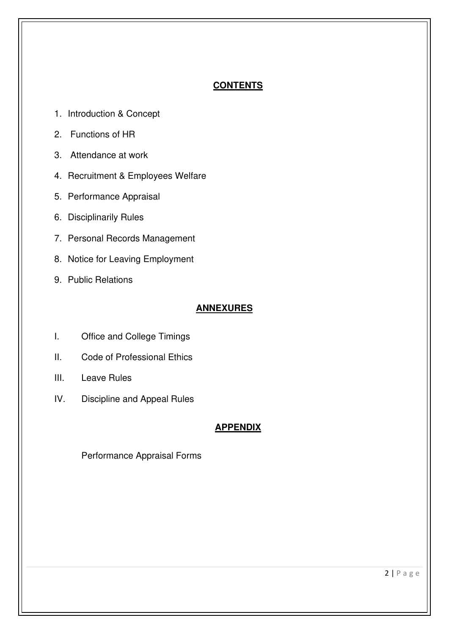# **CONTENTS**

- 1. Introduction & Concept
- 2. Functions of HR
- 3. Attendance at work
- 4. Recruitment & Employees Welfare
- 5. Performance Appraisal
- 6. Disciplinarily Rules
- 7. Personal Records Management
- 8. Notice for Leaving Employment
- 9. Public Relations

# **ANNEXURES**

- I. Office and College Timings
- II. Code of Professional Ethics
- III. Leave Rules
- IV. Discipline and Appeal Rules

# **APPENDIX**

Performance Appraisal Forms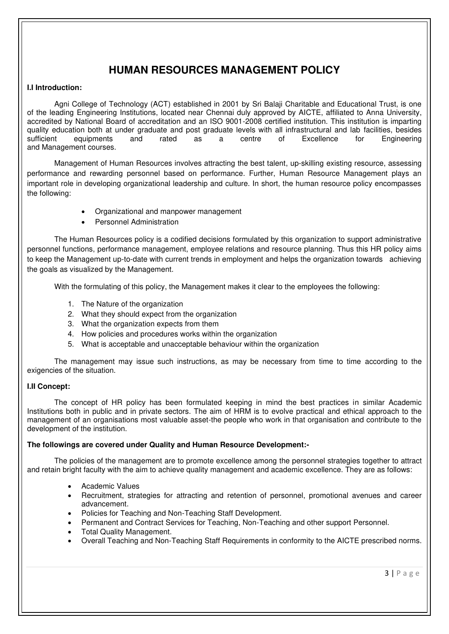# **HUMAN RESOURCES MANAGEMENT POLICY**

#### **I.I Introduction:**

Agni College of Technology (ACT) established in 2001 by Sri Balaji Charitable and Educational Trust, is one of the leading Engineering Institutions, located near Chennai duly approved by AICTE, affiliated to Anna University, accredited by National Board of accreditation and an ISO 9001-2008 certified institution. This institution is imparting quality education both at under graduate and post graduate levels with all infrastructural and lab facilities, besides<br>sufficient equipments and rated as a centre of Excellence for Engineering sufficient equipments and rated as a centre of Excellence for Engineering and Management courses.

Management of Human Resources involves attracting the best talent, up-skilling existing resource, assessing performance and rewarding personnel based on performance. Further, Human Resource Management plays an important role in developing organizational leadership and culture. In short, the human resource policy encompasses the following:

- Organizational and manpower management
- Personnel Administration

The Human Resources policy is a codified decisions formulated by this organization to support administrative personnel functions, performance management, employee relations and resource planning. Thus this HR policy aims to keep the Management up-to-date with current trends in employment and helps the organization towards achieving the goals as visualized by the Management.

With the formulating of this policy, the Management makes it clear to the employees the following:

- 1. The Nature of the organization
- 2. What they should expect from the organization
- 3. What the organization expects from them
- 4. How policies and procedures works within the organization
- 5. What is acceptable and unacceptable behaviour within the organization

The management may issue such instructions, as may be necessary from time to time according to the exigencies of the situation.

#### **I.II Concept:**

The concept of HR policy has been formulated keeping in mind the best practices in similar Academic Institutions both in public and in private sectors. The aim of HRM is to evolve practical and ethical approach to the management of an organisations most valuable asset-the people who work in that organisation and contribute to the development of the institution.

#### **The followings are covered under Quality and Human Resource Development:-**

The policies of the management are to promote excellence among the personnel strategies together to attract and retain bright faculty with the aim to achieve quality management and academic excellence. They are as follows:

- Academic Values
- Recruitment, strategies for attracting and retention of personnel, promotional avenues and career advancement.
- Policies for Teaching and Non-Teaching Staff Development.
- Permanent and Contract Services for Teaching, Non-Teaching and other support Personnel.
- Total Quality Management.
- Overall Teaching and Non-Teaching Staff Requirements in conformity to the AICTE prescribed norms.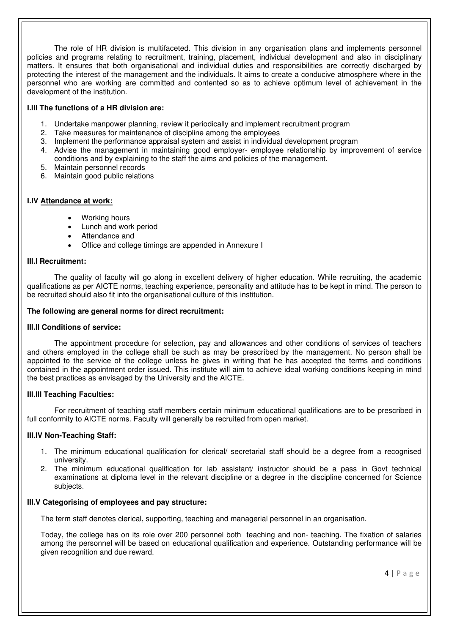The role of HR division is multifaceted. This division in any organisation plans and implements personnel policies and programs relating to recruitment, training, placement, individual development and also in disciplinary matters. It ensures that both organisational and individual duties and responsibilities are correctly discharged by protecting the interest of the management and the individuals. It aims to create a conducive atmosphere where in the personnel who are working are committed and contented so as to achieve optimum level of achievement in the development of the institution.

#### **I.III The functions of a HR division are:**

- 1. Undertake manpower planning, review it periodically and implement recruitment program
- 2. Take measures for maintenance of discipline among the employees
- 3. Implement the performance appraisal system and assist in individual development program
- 4. Advise the management in maintaining good employer- employee relationship by improvement of service conditions and by explaining to the staff the aims and policies of the management.
- 5. Maintain personnel records
- 6. Maintain good public relations

#### **I.IV Attendance at work:**

- Working hours
- Lunch and work period
- Attendance and
- Office and college timings are appended in Annexure I

#### **III.I Recruitment:**

The quality of faculty will go along in excellent delivery of higher education. While recruiting, the academic qualifications as per AICTE norms, teaching experience, personality and attitude has to be kept in mind. The person to be recruited should also fit into the organisational culture of this institution.

#### **The following are general norms for direct recruitment:**

#### **III.II Conditions of service:**

The appointment procedure for selection, pay and allowances and other conditions of services of teachers and others employed in the college shall be such as may be prescribed by the management. No person shall be appointed to the service of the college unless he gives in writing that he has accepted the terms and conditions contained in the appointment order issued. This institute will aim to achieve ideal working conditions keeping in mind the best practices as envisaged by the University and the AICTE.

#### **III.III Teaching Faculties:**

For recruitment of teaching staff members certain minimum educational qualifications are to be prescribed in full conformity to AICTE norms. Faculty will generally be recruited from open market.

#### **III.IV Non-Teaching Staff:**

- 1. The minimum educational qualification for clerical/ secretarial staff should be a degree from a recognised university.
- 2. The minimum educational qualification for lab assistant/ instructor should be a pass in Govt technical examinations at diploma level in the relevant discipline or a degree in the discipline concerned for Science subjects.

#### **III.V Categorising of employees and pay structure:**

The term staff denotes clerical, supporting, teaching and managerial personnel in an organisation.

Today, the college has on its role over 200 personnel both teaching and non- teaching. The fixation of salaries among the personnel will be based on educational qualification and experience. Outstanding performance will be given recognition and due reward.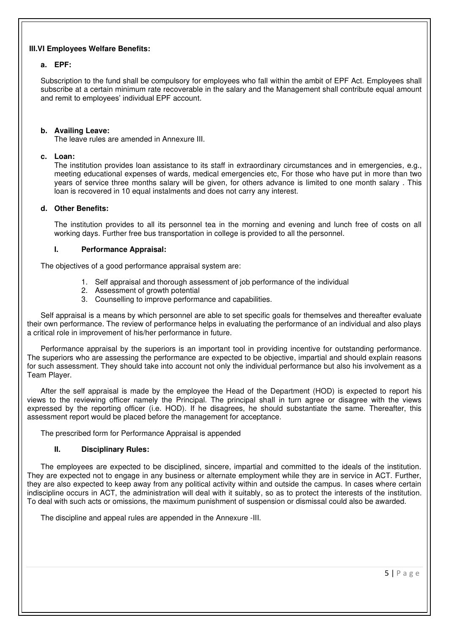#### **III.VI Employees Welfare Benefits:**

#### **a. EPF:**

Subscription to the fund shall be compulsory for employees who fall within the ambit of EPF Act. Employees shall subscribe at a certain minimum rate recoverable in the salary and the Management shall contribute equal amount and remit to employees' individual EPF account.

#### **b. Availing Leave:**

The leave rules are amended in Annexure III.

#### **c. Loan:**

The institution provides loan assistance to its staff in extraordinary circumstances and in emergencies, e.g., meeting educational expenses of wards, medical emergencies etc, For those who have put in more than two years of service three months salary will be given, for others advance is limited to one month salary . This loan is recovered in 10 equal instalments and does not carry any interest.

#### **d. Other Benefits:**

The institution provides to all its personnel tea in the morning and evening and lunch free of costs on all working days. Further free bus transportation in college is provided to all the personnel.

#### **I. Performance Appraisal:**

The objectives of a good performance appraisal system are:

- 1. Self appraisal and thorough assessment of job performance of the individual
- 2. Assessment of growth potential
- 3. Counselling to improve performance and capabilities.

Self appraisal is a means by which personnel are able to set specific goals for themselves and thereafter evaluate their own performance. The review of performance helps in evaluating the performance of an individual and also plays a critical role in improvement of his/her performance in future.

Performance appraisal by the superiors is an important tool in providing incentive for outstanding performance. The superiors who are assessing the performance are expected to be objective, impartial and should explain reasons for such assessment. They should take into account not only the individual performance but also his involvement as a Team Player.

After the self appraisal is made by the employee the Head of the Department (HOD) is expected to report his views to the reviewing officer namely the Principal. The principal shall in turn agree or disagree with the views expressed by the reporting officer (i.e. HOD). If he disagrees, he should substantiate the same. Thereafter, this assessment report would be placed before the management for acceptance.

The prescribed form for Performance Appraisal is appended

#### **II. Disciplinary Rules:**

The employees are expected to be disciplined, sincere, impartial and committed to the ideals of the institution. They are expected not to engage in any business or alternate employment while they are in service in ACT. Further, they are also expected to keep away from any political activity within and outside the campus. In cases where certain indiscipline occurs in ACT, the administration will deal with it suitably, so as to protect the interests of the institution. To deal with such acts or omissions, the maximum punishment of suspension or dismissal could also be awarded.

The discipline and appeal rules are appended in the Annexure -III.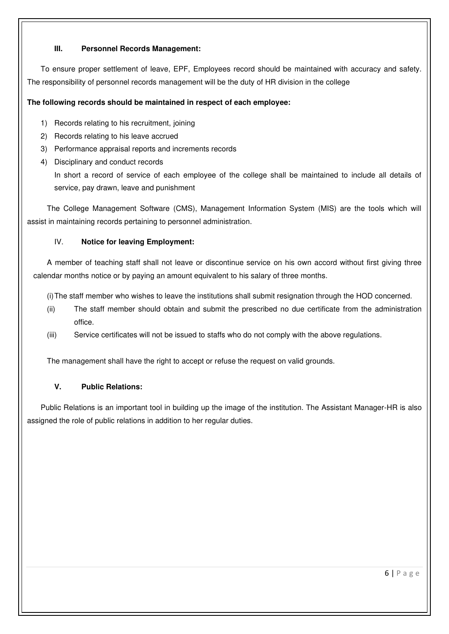#### **III. Personnel Records Management:**

To ensure proper settlement of leave, EPF, Employees record should be maintained with accuracy and safety. The responsibility of personnel records management will be the duty of HR division in the college

## **The following records should be maintained in respect of each employee:**

- 1) Records relating to his recruitment, joining
- 2) Records relating to his leave accrued
- 3) Performance appraisal reports and increments records
- 4) Disciplinary and conduct records

In short a record of service of each employee of the college shall be maintained to include all details of service, pay drawn, leave and punishment

The College Management Software (CMS), Management Information System (MIS) are the tools which will assist in maintaining records pertaining to personnel administration.

## IV. **Notice for leaving Employment:**

A member of teaching staff shall not leave or discontinue service on his own accord without first giving three calendar months notice or by paying an amount equivalent to his salary of three months.

(i) The staff member who wishes to leave the institutions shall submit resignation through the HOD concerned.

- (ii) The staff member should obtain and submit the prescribed no due certificate from the administration office.
- (iii) Service certificates will not be issued to staffs who do not comply with the above regulations.

The management shall have the right to accept or refuse the request on valid grounds.

#### **V. Public Relations:**

Public Relations is an important tool in building up the image of the institution. The Assistant Manager-HR is also assigned the role of public relations in addition to her regular duties.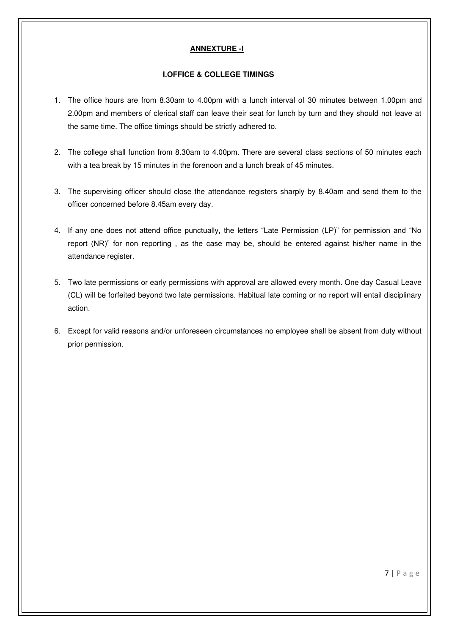#### **ANNEXTURE -I**

#### **I.OFFICE & COLLEGE TIMINGS**

- 1. The office hours are from 8.30am to 4.00pm with a lunch interval of 30 minutes between 1.00pm and 2.00pm and members of clerical staff can leave their seat for lunch by turn and they should not leave at the same time. The office timings should be strictly adhered to.
- 2. The college shall function from 8.30am to 4.00pm. There are several class sections of 50 minutes each with a tea break by 15 minutes in the forenoon and a lunch break of 45 minutes.
- 3. The supervising officer should close the attendance registers sharply by 8.40am and send them to the officer concerned before 8.45am every day.
- 4. If any one does not attend office punctually, the letters "Late Permission (LP)" for permission and "No report (NR)" for non reporting , as the case may be, should be entered against his/her name in the attendance register.
- 5. Two late permissions or early permissions with approval are allowed every month. One day Casual Leave (CL) will be forfeited beyond two late permissions. Habitual late coming or no report will entail disciplinary action.
- 6. Except for valid reasons and/or unforeseen circumstances no employee shall be absent from duty without prior permission.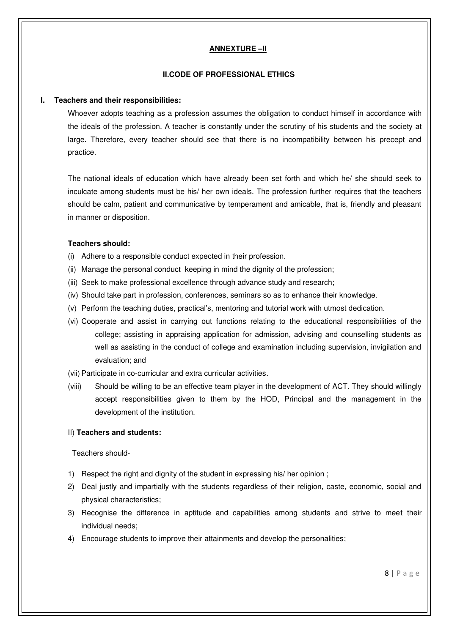#### **ANNEXTURE –II**

#### **II.CODE OF PROFESSIONAL ETHICS**

#### **I. Teachers and their responsibilities:**

Whoever adopts teaching as a profession assumes the obligation to conduct himself in accordance with the ideals of the profession. A teacher is constantly under the [scrutiny](https://www.google.co.in/search?hl=en&pwst=1&biw=800&bih=470&sa=X&ei=ezISUKXlKcmGrAew9YH4Cw&ved=0CGgQvwUoAQ&q=scrutiny&spell=1) of his students and the society at large. Therefore, every teacher should see that there is no incompatibility between his precept and practice.

The national ideals of education which have already been set forth and which he/ she should seek to inculcate among students must be his/ her own ideals. The profession further requires that the teachers should be calm, patient and communicative by temperament and amicable, that is, friendly and pleasant in manner or disposition.

#### **Teachers should:**

- (i) Adhere to a responsible conduct expected in their profession.
- (ii) Manage the personal conduct keeping in mind the dignity of the profession;
- (iii) Seek to make professional excellence through advance study and research;
- (iv) Should take part in profession, conferences, seminars so as to enhance their knowledge.
- (v) Perform the teaching duties, practical's, mentoring and tutorial work with utmost dedication.
- (vi) Cooperate and assist in carrying out functions relating to the educational responsibilities of the college; assisting in appraising application for admission, advising and counselling students as well as assisting in the conduct of college and examination including supervision, invigilation and evaluation; and
- (vii) Participate in co-curricular and extra curricular activities.
- (viii) Should be willing to be an effective team player in the development of ACT. They should willingly accept responsibilities given to them by the HOD, Principal and the management in the development of the institution.

#### II) **Teachers and students:**

Teachers should-

- 1) Respect the right and dignity of the student in expressing his/ her opinion ;
- 2) Deal justly and impartially with the students regardless of their religion, caste, economic, social and physical characteristics;
- 3) Recognise the difference in aptitude and capabilities among students and strive to meet their individual needs;
- 4) Encourage students to improve their attainments and develop the personalities;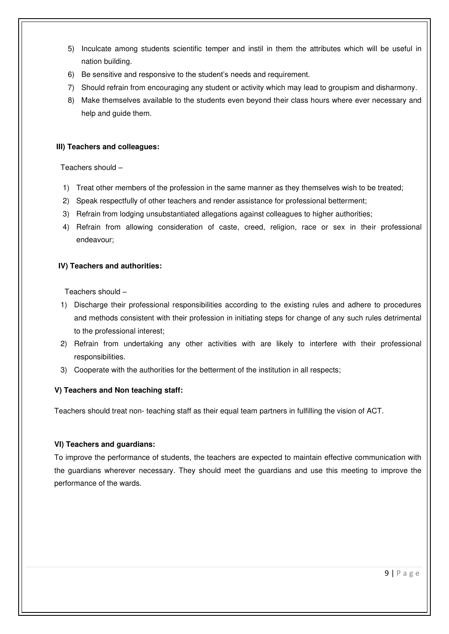- 5) Inculcate among students scientific temper and instil in them the attributes which will be useful in nation building.
- 6) Be sensitive and responsive to the student's needs and requirement.
- 7) Should refrain from encouraging any student or activity which may lead to groupism and disharmony.
- 8) Make themselves available to the students even beyond their class hours where ever necessary and help and guide them.

#### **III) Teachers and colleagues:**

Teachers should –

- 1) Treat other members of the profession in the same manner as they themselves wish to be treated;
- 2) Speak respectfully of other teachers and render assistance for professional betterment;
- 3) Refrain from lodging unsubstantiated allegations against colleagues to higher authorities;
- 4) Refrain from allowing consideration of caste, creed, religion, race or sex in their professional endeavour;

#### **IV) Teachers and authorities:**

Teachers should –

- 1) Discharge their professional responsibilities according to the existing rules and adhere to procedures and methods consistent with their profession in initiating steps for change of any such rules detrimental to the professional interest;
- 2) Refrain from undertaking any other activities with are likely to interfere with their professional responsibilities.
- 3) Cooperate with the authorities for the betterment of the institution in all respects;

#### **V) Teachers and Non teaching staff:**

Teachers should treat non- teaching staff as their equal team partners in fulfilling the vision of ACT.

#### **VI) Teachers and guardians:**

To improve the performance of students, the teachers are expected to maintain effective communication with the guardians wherever necessary. They should meet the guardians and use this meeting to improve the performance of the wards.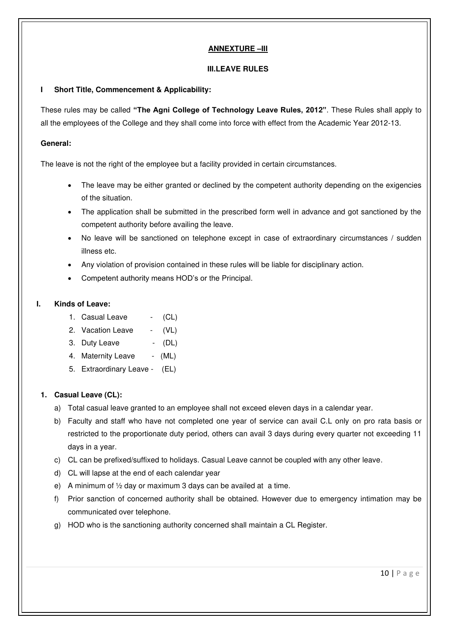#### **ANNEXTURE –III**

#### **III.LEAVE RULES**

#### **I Short Title, Commencement & Applicability:**

These rules may be called **"The Agni College of Technology Leave Rules, 2012"**. These Rules shall apply to all the employees of the College and they shall come into force with effect from the Academic Year 2012-13.

#### **General:**

The leave is not the right of the employee but a facility provided in certain circumstances.

- The leave may be either granted or declined by the competent authority depending on the exigencies of the situation.
- The application shall be submitted in the prescribed form well in advance and got sanctioned by the competent authority before availing the leave.
- No leave will be sanctioned on telephone except in case of extraordinary circumstances / sudden illness etc.
- Any violation of provision contained in these rules will be liable for disciplinary action.
- Competent authority means HOD's or the Principal.

#### **I. Kinds of Leave:**

- 1. Casual Leave (CL)
- 2. Vacation Leave (VL)
- 3. Duty Leave (DL)
- 4. Maternity Leave (ML)
- 5. Extraordinary Leave (EL)

#### **1. Casual Leave (CL):**

- a) Total casual leave granted to an employee shall not exceed eleven days in a calendar year.
- b) Faculty and staff who have not completed one year of service can avail C.L only on pro rata basis or restricted to the proportionate duty period, others can avail 3 days during every quarter not exceeding 11 days in a year.
- c) CL can be prefixed/suffixed to holidays. Casual Leave cannot be coupled with any other leave.
- d) CL will lapse at the end of each calendar year
- e) A minimum of ½ day or maximum 3 days can be availed at a time.
- f) Prior sanction of concerned authority shall be obtained. However due to emergency intimation may be communicated over telephone.
- g) HOD who is the sanctioning authority concerned shall maintain a CL Register.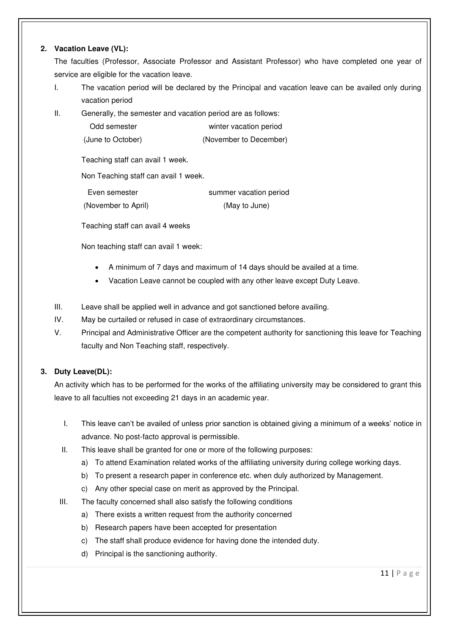#### **2. Vacation Leave (VL):**

The faculties (Professor, Associate Professor and Assistant Professor) who have completed one year of service are eligible for the vacation leave.

- I. The vacation period will be declared by the Principal and vacation leave can be availed only during vacation period
- II. Generally, the semester and vacation period are as follows:

| Odd semester      | winter vacation period |
|-------------------|------------------------|
| (June to October) | (November to December) |

Teaching staff can avail 1 week.

Non Teaching staff can avail 1 week.

| Even semester       | summer vacation period |
|---------------------|------------------------|
| (November to April) | (May to June)          |

Teaching staff can avail 4 weeks

Non teaching staff can avail 1 week:

- A minimum of 7 days and maximum of 14 days should be availed at a time.
- Vacation Leave cannot be coupled with any other leave except Duty Leave.
- III. Leave shall be applied well in advance and got sanctioned before availing.
- IV. May be curtailed or refused in case of extraordinary circumstances.
- V. Principal and Administrative Officer are the competent authority for sanctioning this leave for Teaching faculty and Non Teaching staff, respectively.

## **3. Duty Leave(DL):**

An activity which has to be performed for the works of the affiliating university may be considered to grant this leave to all faculties not exceeding 21 days in an academic year.

- I. This leave can't be availed of unless prior sanction is obtained giving a minimum of a weeks' notice in advance. No post-facto approval is permissible.
- II. This leave shall be granted for one or more of the following purposes:
	- a) To attend Examination related works of the affiliating university during college working days.
	- b) To present a research paper in conference etc. when duly authorized by Management.
	- c) Any other special case on merit as approved by the Principal.
- III. The faculty concerned shall also satisfy the following conditions
	- a) There exists a written request from the authority concerned
	- b) Research papers have been accepted for presentation
	- c) The staff shall produce evidence for having done the intended duty.
	- d) Principal is the sanctioning authority.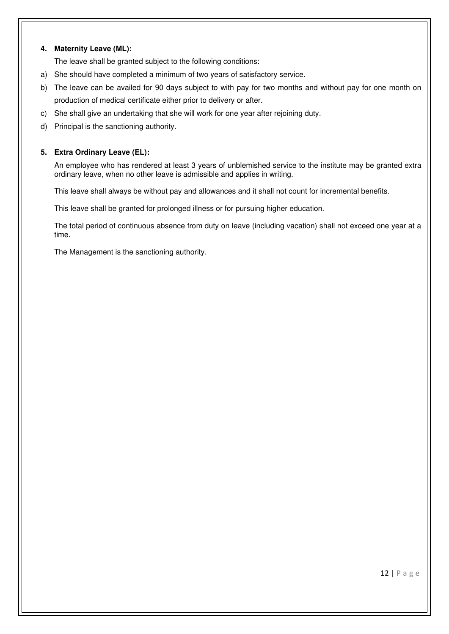#### **4. Maternity Leave (ML):**

The leave shall be granted subject to the following conditions:

- a) She should have completed a minimum of two years of satisfactory service.
- b) The leave can be availed for 90 days subject to with pay for two months and without pay for one month on production of medical certificate either prior to delivery or after.
- c) She shall give an undertaking that she will work for one year after rejoining duty.
- d) Principal is the sanctioning authority.

#### **5. Extra Ordinary Leave (EL):**

An employee who has rendered at least 3 years of unblemished service to the institute may be granted extra ordinary leave, when no other leave is admissible and applies in writing.

This leave shall always be without pay and allowances and it shall not count for incremental benefits.

This leave shall be granted for prolonged illness or for pursuing higher education.

The total period of continuous absence from duty on leave (including vacation) shall not exceed one year at a time.

The Management is the sanctioning authority.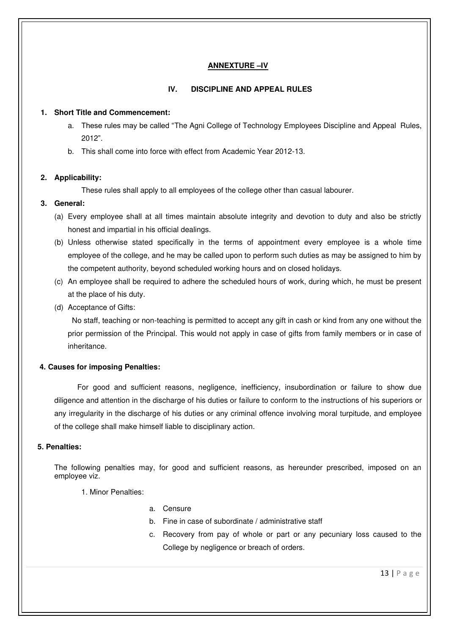#### **ANNEXTURE –IV**

#### **IV. DISCIPLINE AND APPEAL RULES**

#### **1. Short Title and Commencement:**

- a. These rules may be called "The Agni College of Technology Employees Discipline and Appeal Rules, 2012".
- b. This shall come into force with effect from Academic Year 2012-13.

#### **2. Applicability:**

These rules shall apply to all employees of the college other than casual labourer.

#### **3. General:**

- (a) Every employee shall at all times maintain absolute integrity and devotion to duty and also be strictly honest and impartial in his official dealings.
- (b) Unless otherwise stated specifically in the terms of appointment every employee is a whole time employee of the college, and he may be called upon to perform such duties as may be assigned to him by the competent authority, beyond scheduled working hours and on closed holidays.
- (c) An employee shall be required to adhere the scheduled hours of work, during which, he must be present at the place of his duty.
- (d) Acceptance of Gifts:

 No staff, teaching or non-teaching is permitted to accept any gift in cash or kind from any one without the prior permission of the Principal. This would not apply in case of gifts from family members or in case of inheritance.

#### **4. Causes for imposing Penalties:**

For good and sufficient reasons, negligence, inefficiency, insubordination or failure to show due diligence and attention in the discharge of his duties or failure to conform to the instructions of his superiors or any irregularity in the discharge of his duties or any criminal offence involving moral turpitude, and employee of the college shall make himself liable to disciplinary action.

#### **5. Penalties:**

The following penalties may, for good and sufficient reasons, as hereunder prescribed, imposed on an employee viz.

- 1. Minor Penalties:
- a. Censure
- b. Fine in case of subordinate / administrative staff
- c. Recovery from pay of whole or part or any pecuniary loss caused to the College by negligence or breach of orders.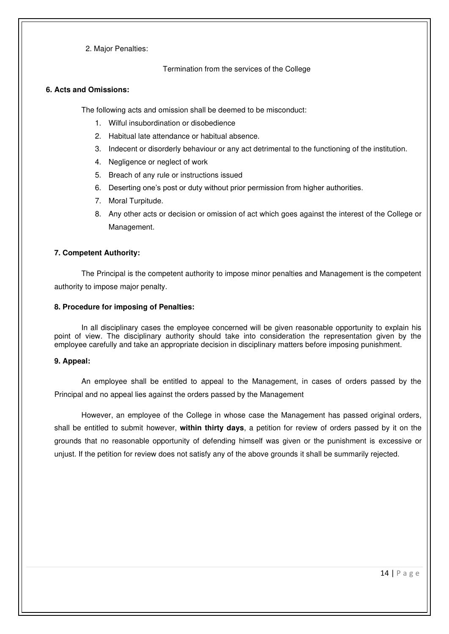2. Major Penalties:

Termination from the services of the College

#### **6. Acts and Omissions:**

The following acts and omission shall be deemed to be misconduct:

- 1. Wilful insubordination or disobedience
- 2. Habitual late attendance or habitual absence.
- 3. Indecent or disorderly behaviour or any act detrimental to the functioning of the institution.
- 4. Negligence or neglect of work
- 5. Breach of any rule or instructions issued
- 6. Deserting one's post or duty without prior permission from higher authorities.
- 7. Moral Turpitude.
- 8. Any other acts or decision or omission of act which goes against the interest of the College or Management.

#### **7. Competent Authority:**

The Principal is the competent authority to impose minor penalties and Management is the competent authority to impose major penalty.

#### **8. Procedure for imposing of Penalties:**

In all disciplinary cases the employee concerned will be given reasonable opportunity to explain his point of view. The disciplinary authority should take into consideration the representation given by the employee carefully and take an appropriate decision in disciplinary matters before imposing punishment.

#### **9. Appeal:**

An employee shall be entitled to appeal to the Management, in cases of orders passed by the Principal and no appeal lies against the orders passed by the Management

However, an employee of the College in whose case the Management has passed original orders, shall be entitled to submit however, **within thirty days**, a petition for review of orders passed by it on the grounds that no reasonable opportunity of defending himself was given or the punishment is excessive or unjust. If the petition for review does not satisfy any of the above grounds it shall be summarily rejected.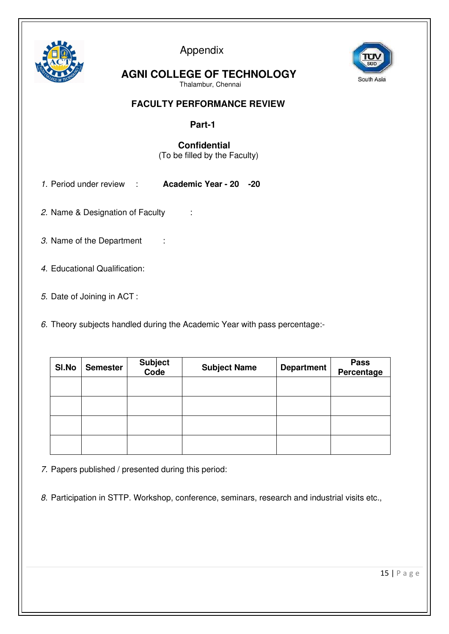

Appendix



 **AGNI COLLEGE OF TECHNOLOGY**

Thalambur, Chennai

## **FACULTY PERFORMANCE REVIEW**

# **Part-1**

# **Confidential**

(To be filled by the Faculty)

- 1. Period under review : **Academic Year 20 -20**
- 2. Name & Designation of Faculty :
- 3. Name of the Department :
- 4. Educational Qualification:
- 5. Date of Joining in ACT :
- 6. Theory subjects handled during the Academic Year with pass percentage:-

| SI.No | <b>Semester</b> | Subject<br>Code | <b>Subject Name</b> | <b>Department</b> | <b>Pass</b><br>Percentage |
|-------|-----------------|-----------------|---------------------|-------------------|---------------------------|
|       |                 |                 |                     |                   |                           |
|       |                 |                 |                     |                   |                           |
|       |                 |                 |                     |                   |                           |
|       |                 |                 |                     |                   |                           |

7. Papers published / presented during this period:

8. Participation in STTP. Workshop, conference, seminars, research and industrial visits etc.,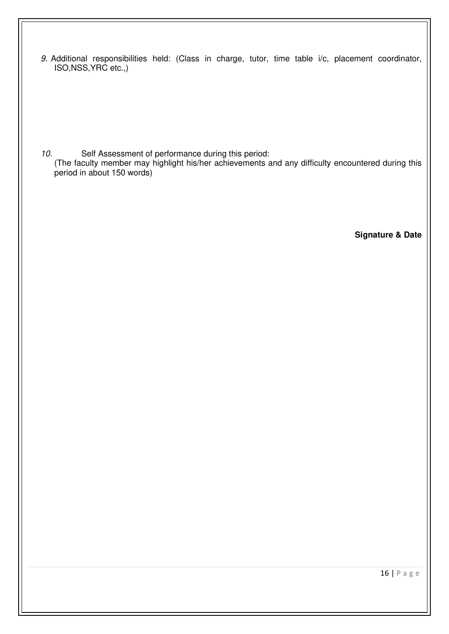9. Additional responsibilities held: (Class in charge, tutor, time table i/c, placement coordinator, ISO,NSS,YRC etc.,)

10. Self Assessment of performance during this period:

(The faculty member may highlight his/her achievements and any difficulty encountered during this period in about 150 words)

**Signature & Date**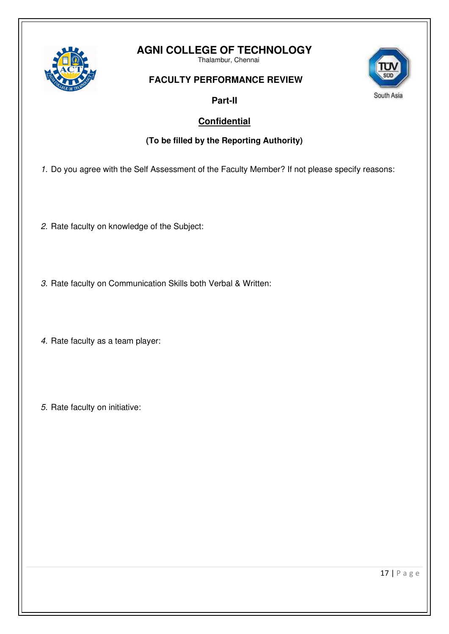

# **AGNI COLLEGE OF TECHNOLOGY**

Thalambur, Chennai

# **FACULTY PERFORMANCE REVIEW**



# **Part-II**

# **Confidential**

# **(To be filled by the Reporting Authority)**

1. Do you agree with the Self Assessment of the Faculty Member? If not please specify reasons:

- 2. Rate faculty on knowledge of the Subject:
- 3. Rate faculty on Communication Skills both Verbal & Written:
- 4. Rate faculty as a team player:
- 5. Rate faculty on initiative:

17 | P a g e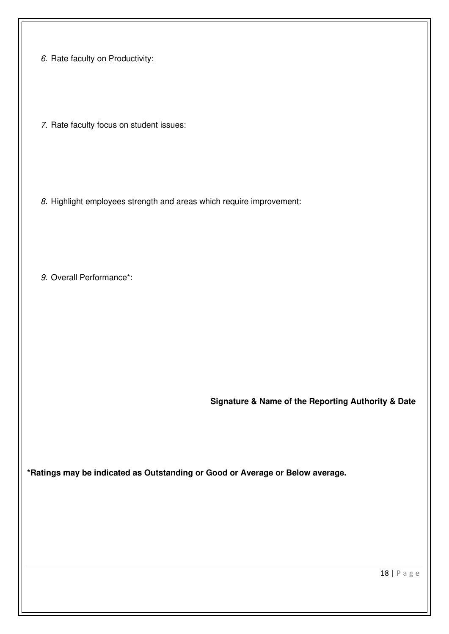6. Rate faculty on Productivity:

7. Rate faculty focus on student issues:

8. Highlight employees strength and areas which require improvement:

9. Overall Performance\*:

 **Signature & Name of the Reporting Authority & Date**

**\*Ratings may be indicated as Outstanding or Good or Average or Below average.**